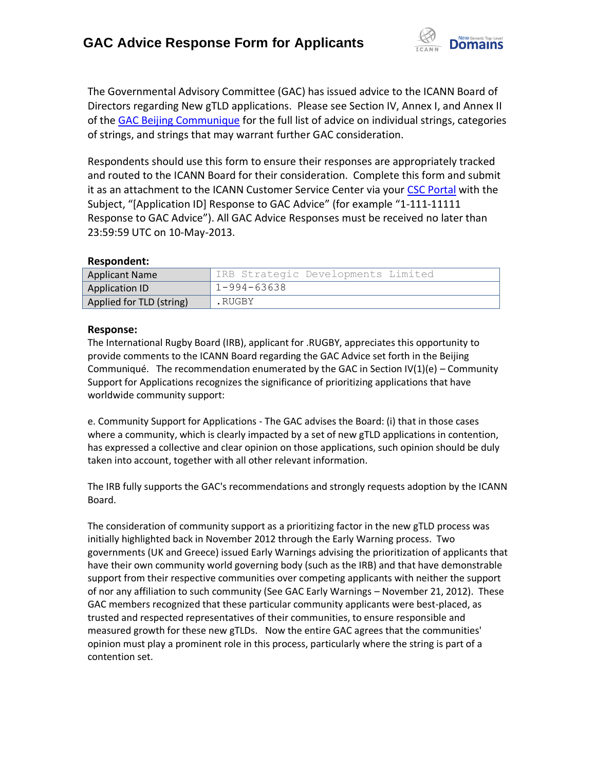

The Governmental Advisory Committee (GAC) has issued advice to the ICANN Board of Directors regarding New gTLD applications. Please see Section IV, Annex I, and Annex II of the [GAC Beijing Communique](http://www.icann.org/en/news/correspondence/gac-to-board-18apr13-en.pdf) for the full list of advice on individual strings, categories of strings, and strings that may warrant further GAC consideration.

Respondents should use this form to ensure their responses are appropriately tracked and routed to the ICANN Board for their consideration. Complete this form and submit it as an attachment to the ICANN Customer Service Center via your CSC [Portal](https://myicann.secure.force.com/) with the Subject, "[Application ID] Response to GAC Advice" (for example "1-111-11111 Response to GAC Advice"). All GAC Advice Responses must be received no later than 23:59:59 UTC on 10-May-2013.

## **Respondent:**

| <b>Applicant Name</b>    | IRB Strategic Developments Limited |
|--------------------------|------------------------------------|
| Application ID           | $1 - 994 - 63638$                  |
| Applied for TLD (string) | .RUGBY                             |

## **Response:**

The International Rugby Board (IRB), applicant for .RUGBY, appreciates this opportunity to provide comments to the ICANN Board regarding the GAC Advice set forth in the Beijing Communiqué. The recommendation enumerated by the GAC in Section  $IV(1)(e)$  – Community Support for Applications recognizes the significance of prioritizing applications that have worldwide community support:

e. Community Support for Applications - The GAC advises the Board: (i) that in those cases where a community, which is clearly impacted by a set of new gTLD applications in contention, has expressed a collective and clear opinion on those applications, such opinion should be duly taken into account, together with all other relevant information.

The IRB fully supports the GAC's recommendations and strongly requests adoption by the ICANN Board.

The consideration of community support as a prioritizing factor in the new gTLD process was initially highlighted back in November 2012 through the Early Warning process. Two governments (UK and Greece) issued Early Warnings advising the prioritization of applicants that have their own community world governing body (such as the IRB) and that have demonstrable support from their respective communities over competing applicants with neither the support of nor any affiliation to such community (See GAC Early Warnings – November 21, 2012). These GAC members recognized that these particular community applicants were best-placed, as trusted and respected representatives of their communities, to ensure responsible and measured growth for these new gTLDs. Now the entire GAC agrees that the communities' opinion must play a prominent role in this process, particularly where the string is part of a contention set.